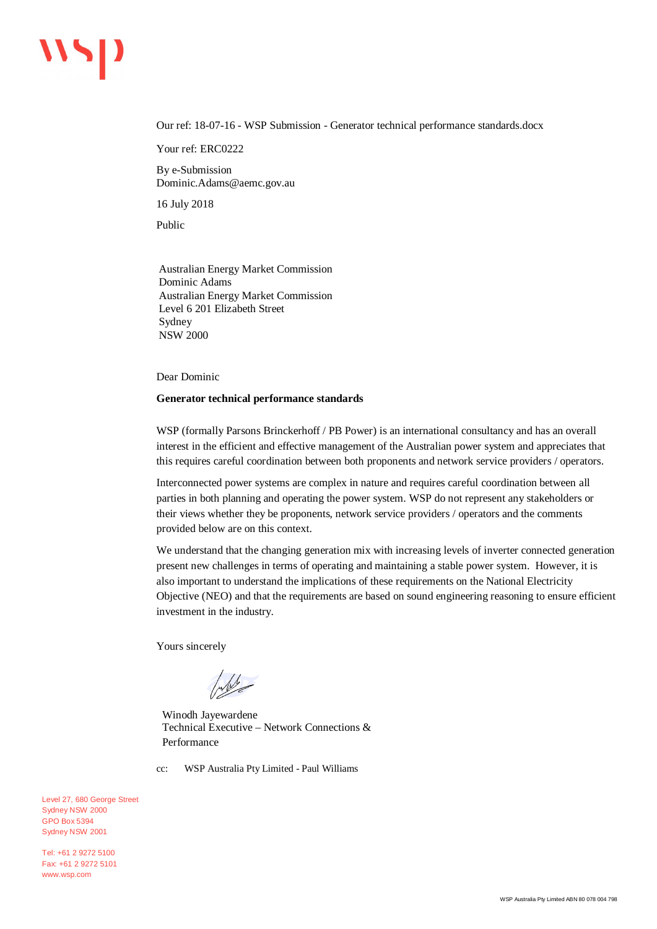# $\overline{\mathbf{v}}$

Our ref: 18-07-16 - WSP Submission - Generator technical performance standards.docx

Your ref: ERC0222

By e-Submission Dominic.Adams@aemc.gov.au

16 July 2018

Public

Australian Energy Market Commission Dominic Adams Australian Energy Market Commission Level 6 201 Elizabeth Street Sydney NSW 2000

Dear Dominic

#### **Generator technical performance standards**

WSP (formally Parsons Brinckerhoff / PB Power) is an international consultancy and has an overall interest in the efficient and effective management of the Australian power system and appreciates that this requires careful coordination between both proponents and network service providers / operators.

Interconnected power systems are complex in nature and requires careful coordination between all parties in both planning and operating the power system. WSP do not represent any stakeholders or their views whether they be proponents, network service providers / operators and the comments provided below are on this context.

We understand that the changing generation mix with increasing levels of inverter connected generation present new challenges in terms of operating and maintaining a stable power system. However, it is also important to understand the implications of these requirements on the National Electricity Objective (NEO) and that the requirements are based on sound engineering reasoning to ensure efficient investment in the industry.

Yours sincerely

Inde

Winodh Jayewardene Technical Executive – Network Connections & Performance

cc: WSP Australia Pty Limited - Paul Williams

Level 27, 680 George Street Sydney NSW 2000 GPO Box 5394 Sydney NSW 2001

Tel: +61 2 9272 5100 Fax: +61 2 9272 5101 www.wsp.com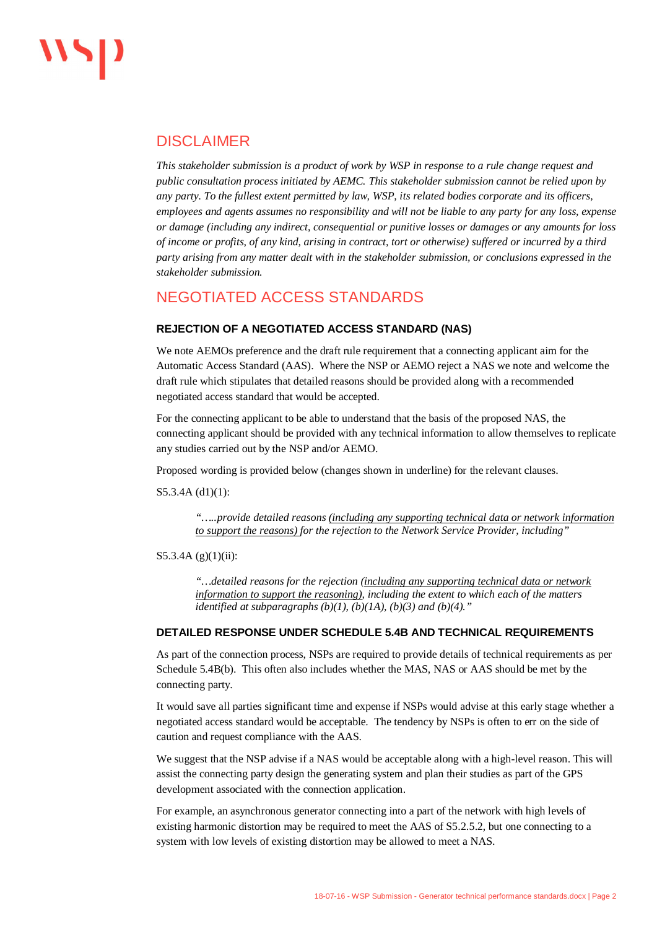### DISCLAIMER

*This stakeholder submission is a product of work by WSP in response to a rule change request and public consultation process initiated by AEMC. This stakeholder submission cannot be relied upon by any party. To the fullest extent permitted by law, WSP, its related bodies corporate and its officers, employees and agents assumes no responsibility and will not be liable to any party for any loss, expense or damage (including any indirect, consequential or punitive losses or damages or any amounts for loss of income or profits, of any kind, arising in contract, tort or otherwise) suffered or incurred by a third party arising from any matter dealt with in the stakeholder submission, or conclusions expressed in the stakeholder submission.*

## NEGOTIATED ACCESS STANDARDS

#### **REJECTION OF A NEGOTIATED ACCESS STANDARD (NAS)**

We note AEMOs preference and the draft rule requirement that a connecting applicant aim for the Automatic Access Standard (AAS). Where the NSP or AEMO reject a NAS we note and welcome the draft rule which stipulates that detailed reasons should be provided along with a recommended negotiated access standard that would be accepted.

For the connecting applicant to be able to understand that the basis of the proposed NAS, the connecting applicant should be provided with any technical information to allow themselves to replicate any studies carried out by the NSP and/or AEMO.

Proposed wording is provided below (changes shown in underline) for the relevant clauses.

S5.3.4A (d1)(1):

*"…..provide detailed reasons (including any supporting technical data or network information to support the reasons) for the rejection to the Network Service Provider, including"*

#### S5.3.4A  $(g)(1)(ii)$ :

*"…detailed reasons for the rejection (including any supporting technical data or network information to support the reasoning), including the extent to which each of the matters identified at subparagraphs (b)(1), (b)(1A), (b)(3) and (b)(4)."*

#### **DETAILED RESPONSE UNDER SCHEDULE 5.4B AND TECHNICAL REQUIREMENTS**

As part of the connection process, NSPs are required to provide details of technical requirements as per Schedule 5.4B(b). This often also includes whether the MAS, NAS or AAS should be met by the connecting party.

It would save all parties significant time and expense if NSPs would advise at this early stage whether a negotiated access standard would be acceptable. The tendency by NSPs is often to err on the side of caution and request compliance with the AAS.

We suggest that the NSP advise if a NAS would be acceptable along with a high-level reason. This will assist the connecting party design the generating system and plan their studies as part of the GPS development associated with the connection application.

For example, an asynchronous generator connecting into a part of the network with high levels of existing harmonic distortion may be required to meet the AAS of S5.2.5.2, but one connecting to a system with low levels of existing distortion may be allowed to meet a NAS.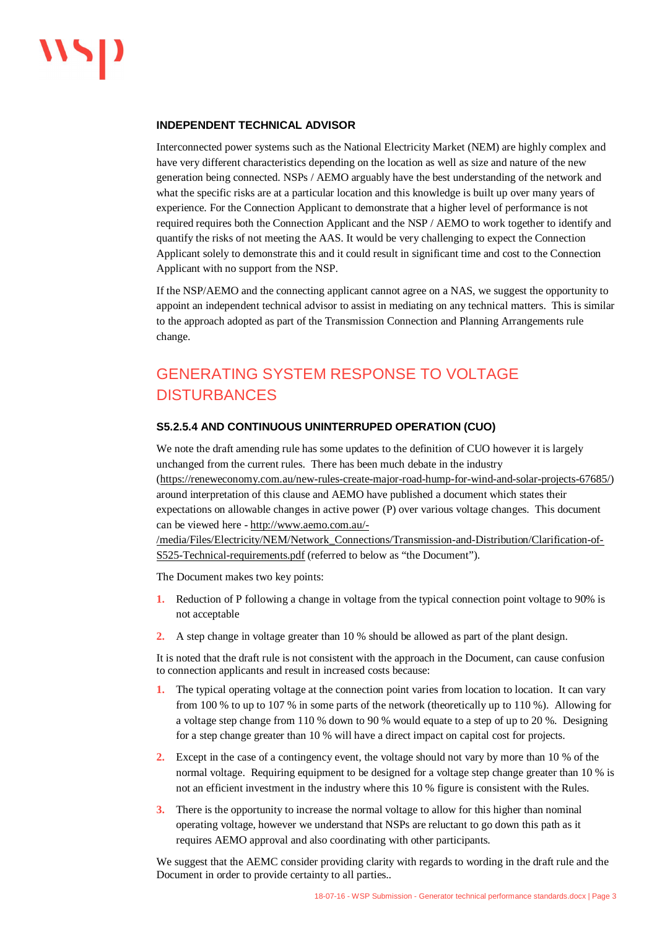#### **INDEPENDENT TECHNICAL ADVISOR**

Interconnected power systems such as the National Electricity Market (NEM) are highly complex and have very different characteristics depending on the location as well as size and nature of the new generation being connected. NSPs / AEMO arguably have the best understanding of the network and what the specific risks are at a particular location and this knowledge is built up over many years of experience. For the Connection Applicant to demonstrate that a higher level of performance is not required requires both the Connection Applicant and the NSP / AEMO to work together to identify and quantify the risks of not meeting the AAS. It would be very challenging to expect the Connection Applicant solely to demonstrate this and it could result in significant time and cost to the Connection Applicant with no support from the NSP.

If the NSP/AEMO and the connecting applicant cannot agree on a NAS, we suggest the opportunity to appoint an independent technical advisor to assist in mediating on any technical matters. This is similar to the approach adopted as part of the Transmission Connection and Planning Arrangements rule change.

# GENERATING SYSTEM RESPONSE TO VOLTAGE **DISTURBANCES**

#### **S5.2.5.4 AND CONTINUOUS UNINTERRUPED OPERATION (CUO)**

We note the draft amending rule has some updates to the definition of CUO however it is largely unchanged from the current rules. There has been much debate in the industry [\(https://reneweconomy.com.au/new-rules-create-major-road-hump-for-wind-and-solar-projects-67685/\)](https://reneweconomy.com.au/new-rules-create-major-road-hump-for-wind-and-solar-projects-67685/) around interpretation of this clause and AEMO have published a document which states their expectations on allowable changes in active power (P) over various voltage changes. This document can be viewed here - [http://www.aemo.com.au/-](http://www.aemo.com.au/-/media/Files/Electricity/NEM/Network_Connections/Transmission-and-Distribution/Clarification-of-S525-Technical-requirements.pdf)

[/media/Files/Electricity/NEM/Network\\_Connections/Transmission-and-Distribution/Clarification-of-](http://www.aemo.com.au/-/media/Files/Electricity/NEM/Network_Connections/Transmission-and-Distribution/Clarification-of-S525-Technical-requirements.pdf)[S525-Technical-requirements.pdf](http://www.aemo.com.au/-/media/Files/Electricity/NEM/Network_Connections/Transmission-and-Distribution/Clarification-of-S525-Technical-requirements.pdf) (referred to below as "the Document").

The Document makes two key points:

- **1.** Reduction of P following a change in voltage from the typical connection point voltage to 90% is not acceptable
- **2.** A step change in voltage greater than 10 % should be allowed as part of the plant design.

It is noted that the draft rule is not consistent with the approach in the Document, can cause confusion to connection applicants and result in increased costs because:

- **1.** The typical operating voltage at the connection point varies from location to location. It can vary from 100 % to up to 107 % in some parts of the network (theoretically up to 110 %). Allowing for a voltage step change from 110 % down to 90 % would equate to a step of up to 20 %. Designing for a step change greater than 10 % will have a direct impact on capital cost for projects.
- **2.** Except in the case of a contingency event, the voltage should not vary by more than 10 % of the normal voltage. Requiring equipment to be designed for a voltage step change greater than 10 % is not an efficient investment in the industry where this 10 % figure is consistent with the Rules.
- **3.** There is the opportunity to increase the normal voltage to allow for this higher than nominal operating voltage, however we understand that NSPs are reluctant to go down this path as it requires AEMO approval and also coordinating with other participants.

We suggest that the AEMC consider providing clarity with regards to wording in the draft rule and the Document in order to provide certainty to all parties..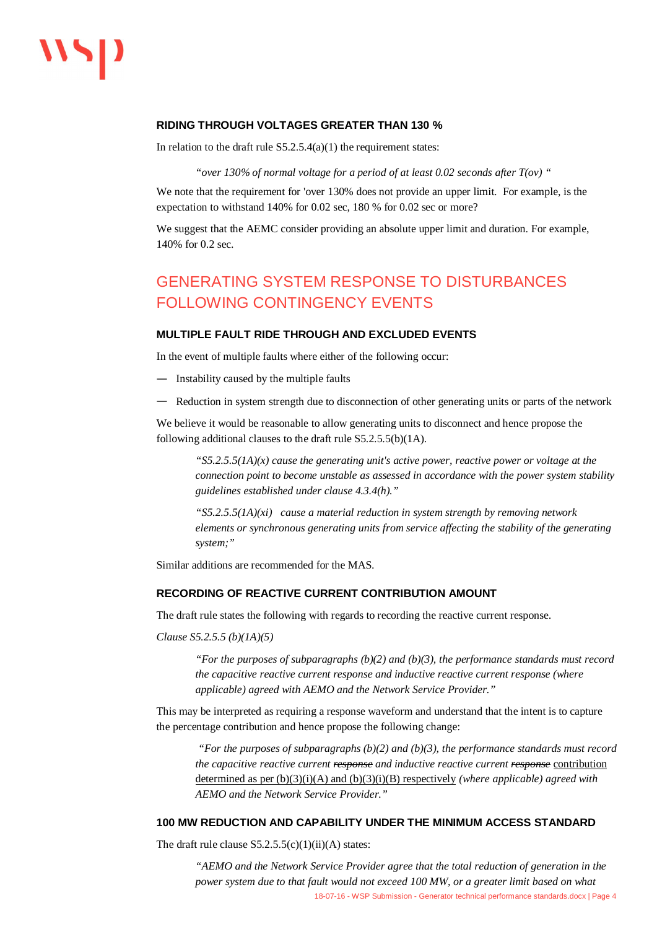#### **RIDING THROUGH VOLTAGES GREATER THAN 130 %**

In relation to the draft rule  $S5.2.5.4(a)(1)$  the requirement states:

*"over 130% of normal voltage for a period of at least 0.02 seconds after T(ov) "*

We note that the requirement for 'over 130% does not provide an upper limit. For example, is the expectation to withstand 140% for 0.02 sec, 180 % for 0.02 sec or more?

We suggest that the AEMC consider providing an absolute upper limit and duration. For example, 140% for 0.2 sec.

## GENERATING SYSTEM RESPONSE TO DISTURBANCES FOLLOWING CONTINGENCY EVENTS

#### **MULTIPLE FAULT RIDE THROUGH AND EXCLUDED EVENTS**

In the event of multiple faults where either of the following occur:

- Instability caused by the multiple faults
- Reduction in system strength due to disconnection of other generating units or parts of the network

We believe it would be reasonable to allow generating units to disconnect and hence propose the following additional clauses to the draft rule S5.2.5.5(b)(1A).

*"S5.2.5.5(1A)(x) cause the generating unit's active power, reactive power or voltage at the connection point to become unstable as assessed in accordance with the power system stability guidelines established under clause 4.3.4(h)."*

*"S5.2.5.5(1A)(xi) cause a material reduction in system strength by removing network elements or synchronous generating units from service affecting the stability of the generating system;"*

Similar additions are recommended for the MAS.

#### **RECORDING OF REACTIVE CURRENT CONTRIBUTION AMOUNT**

The draft rule states the following with regards to recording the reactive current response.

*Clause S5.2.5.5 (b)(1A)(5)*

*"For the purposes of subparagraphs (b)(2) and (b)(3), the performance standards must record the capacitive reactive current response and inductive reactive current response (where applicable) agreed with AEMO and the Network Service Provider."*

This may be interpreted as requiring a response waveform and understand that the intent is to capture the percentage contribution and hence propose the following change:

 *"For the purposes of subparagraphs (b)(2) and (b)(3), the performance standards must record the capacitive reactive current response and inductive reactive current response* contribution determined as per (b)(3)(i)(A) and (b)(3)(i)(B) respectively *(where applicable) agreed with AEMO and the Network Service Provider."*

#### **100 MW REDUCTION AND CAPABILITY UNDER THE MINIMUM ACCESS STANDARD**

The draft rule clause  $S5.2.5.5(c)(1)(ii)(A)$  states:

 18-07-16 - WSP Submission - Generator technical performance standards.docx | Page 4 *"AEMO and the Network Service Provider agree that the total reduction of generation in the power system due to that fault would not exceed 100 MW, or a greater limit based on what*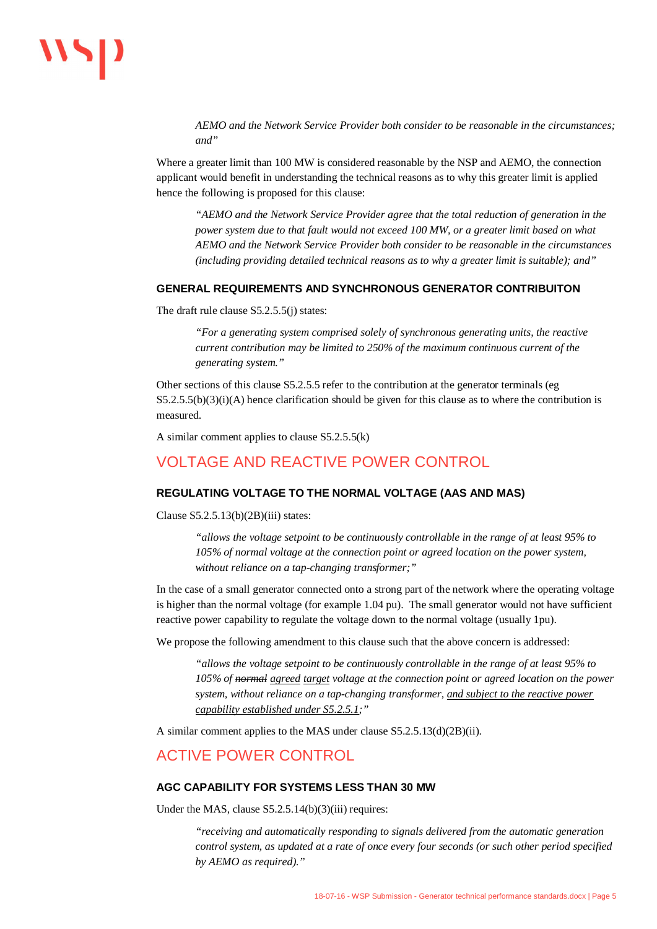# $\overline{\mathbf{v}}$

*AEMO and the Network Service Provider both consider to be reasonable in the circumstances; and"*

Where a greater limit than 100 MW is considered reasonable by the NSP and AEMO, the connection applicant would benefit in understanding the technical reasons as to why this greater limit is applied hence the following is proposed for this clause:

*"AEMO and the Network Service Provider agree that the total reduction of generation in the power system due to that fault would not exceed 100 MW, or a greater limit based on what AEMO and the Network Service Provider both consider to be reasonable in the circumstances (including providing detailed technical reasons as to why a greater limit is suitable); and"*

#### **GENERAL REQUIREMENTS AND SYNCHRONOUS GENERATOR CONTRIBUITON**

The draft rule clause S5.2.5.5(i) states:

*"For a generating system comprised solely of synchronous generating units, the reactive current contribution may be limited to 250% of the maximum continuous current of the generating system."*

Other sections of this clause S5.2.5.5 refer to the contribution at the generator terminals (eg  $S5.2.5.5(b)(3)(i)$ (A) hence clarification should be given for this clause as to where the contribution is measured.

A similar comment applies to clause S5.2.5.5(k)

### VOLTAGE AND REACTIVE POWER CONTROL

#### **REGULATING VOLTAGE TO THE NORMAL VOLTAGE (AAS AND MAS)**

Clause  $S5.2.5.13(b)(2B)(iii)$  states:

*"allows the voltage setpoint to be continuously controllable in the range of at least 95% to 105% of normal voltage at the connection point or agreed location on the power system, without reliance on a tap-changing transformer;"*

In the case of a small generator connected onto a strong part of the network where the operating voltage is higher than the normal voltage (for example 1.04 pu). The small generator would not have sufficient reactive power capability to regulate the voltage down to the normal voltage (usually 1pu).

We propose the following amendment to this clause such that the above concern is addressed:

*"allows the voltage setpoint to be continuously controllable in the range of at least 95% to 105% of normal agreed target voltage at the connection point or agreed location on the power system, without reliance on a tap-changing transformer, and subject to the reactive power capability established under S5.2.5.1;"*

A similar comment applies to the MAS under clause S5.2.5.13(d)(2B)(ii).

### ACTIVE POWER CONTROL

#### **AGC CAPABILITY FOR SYSTEMS LESS THAN 30 MW**

Under the MAS, clause S5.2.5.14(b)(3)(iii) requires:

*"receiving and automatically responding to signals delivered from the automatic generation control system, as updated at a rate of once every four seconds (or such other period specified by AEMO as required)."*